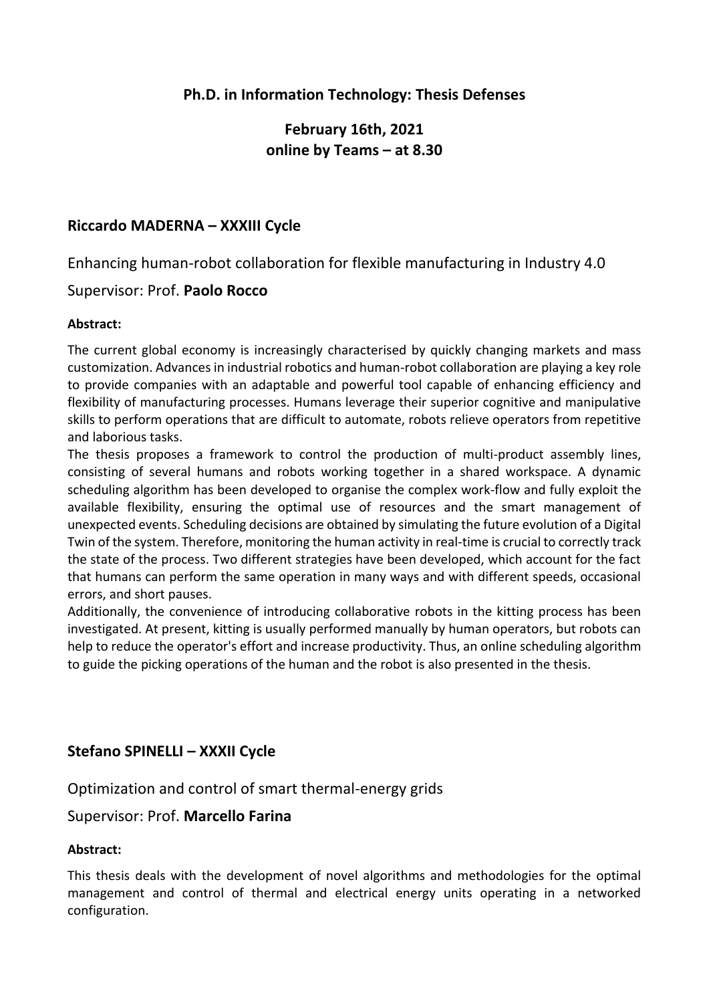## **Ph.D. in Information Technology: Thesis Defenses**

# **February 16th, 2021 online by Teams – at 8.30**

### **Riccardo MADERNA – XXXIII Cycle**

Enhancing human-robot collaboration for flexible manufacturing in Industry 4.0

### Supervisor: Prof. **Paolo Rocco**

#### **Abstract:**

The current global economy is increasingly characterised by quickly changing markets and mass customization. Advances in industrial robotics and human-robot collaboration are playing a key role to provide companies with an adaptable and powerful tool capable of enhancing efficiency and flexibility of manufacturing processes. Humans leverage their superior cognitive and manipulative skills to perform operations that are difficult to automate, robots relieve operators from repetitive and laborious tasks.

The thesis proposes a framework to control the production of multi-product assembly lines, consisting of several humans and robots working together in a shared workspace. A dynamic scheduling algorithm has been developed to organise the complex work-flow and fully exploit the available flexibility, ensuring the optimal use of resources and the smart management of unexpected events. Scheduling decisions are obtained by simulating the future evolution of a Digital Twin of the system. Therefore, monitoring the human activity in real-time is crucial to correctly track the state of the process. Two different strategies have been developed, which account for the fact that humans can perform the same operation in many ways and with different speeds, occasional errors, and short pauses.

Additionally, the convenience of introducing collaborative robots in the kitting process has been investigated. At present, kitting is usually performed manually by human operators, but robots can help to reduce the operator's effort and increase productivity. Thus, an online scheduling algorithm to guide the picking operations of the human and the robot is also presented in the thesis.

### **Stefano SPINELLI – XXXII Cycle**

Optimization and control of smart thermal-energy grids

#### Supervisor: Prof. **Marcello Farina**

#### **Abstract:**

This thesis deals with the development of novel algorithms and methodologies for the optimal management and control of thermal and electrical energy units operating in a networked configuration.